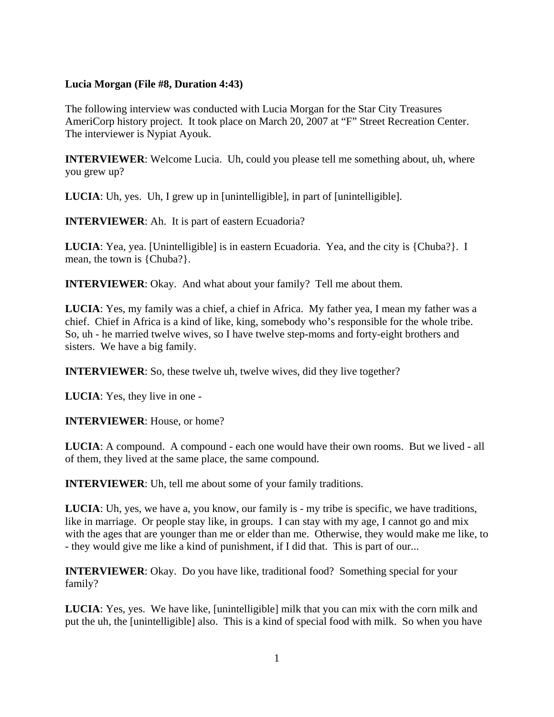# **Lucia Morgan (File #8, Duration 4:43)**

The following interview was conducted with Lucia Morgan for the Star City Treasures AmeriCorp history project. It took place on March 20, 2007 at "F" Street Recreation Center. The interviewer is Nypiat Ayouk.

**INTERVIEWER**: Welcome Lucia. Uh, could you please tell me something about, uh, where you grew up?

**LUCIA**: Uh, yes. Uh, I grew up in [unintelligible], in part of [unintelligible].

**INTERVIEWER**: Ah. It is part of eastern Ecuadoria?

**LUCIA**: Yea, yea. [Unintelligible] is in eastern Ecuadoria. Yea, and the city is {Chuba?}. I mean, the town is {Chuba?}.

**INTERVIEWER:** Okay. And what about your family? Tell me about them.

**LUCIA**: Yes, my family was a chief, a chief in Africa. My father yea, I mean my father was a chief. Chief in Africa is a kind of like, king, somebody who's responsible for the whole tribe. So, uh - he married twelve wives, so I have twelve step-moms and forty-eight brothers and sisters. We have a big family.

**INTERVIEWER**: So, these twelve uh, twelve wives, did they live together?

**LUCIA**: Yes, they live in one -

**INTERVIEWER**: House, or home?

**LUCIA**: A compound. A compound - each one would have their own rooms. But we lived - all of them, they lived at the same place, the same compound.

**INTERVIEWER:** Uh, tell me about some of your family traditions.

**LUCIA**: Uh, yes, we have a, you know, our family is - my tribe is specific, we have traditions, like in marriage. Or people stay like, in groups. I can stay with my age, I cannot go and mix with the ages that are younger than me or elder than me. Otherwise, they would make me like, to - they would give me like a kind of punishment, if I did that. This is part of our...

**INTERVIEWER**: Okay. Do you have like, traditional food? Something special for your family?

**LUCIA**: Yes, yes. We have like, [unintelligible] milk that you can mix with the corn milk and put the uh, the [unintelligible] also. This is a kind of special food with milk. So when you have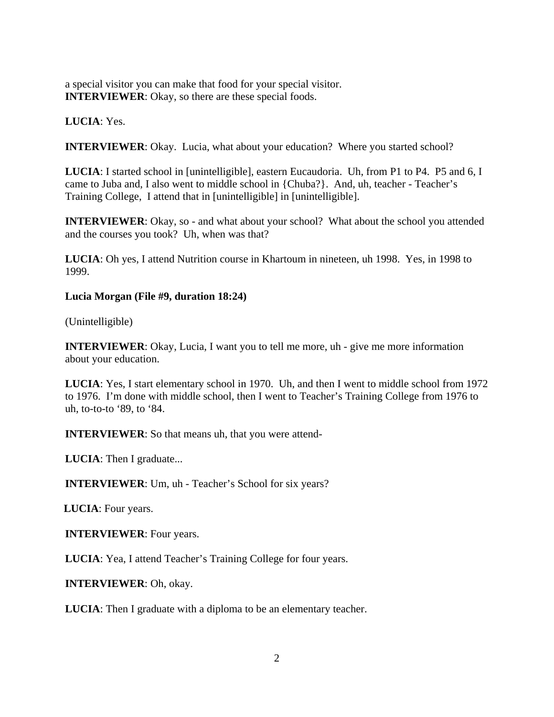a special visitor you can make that food for your special visitor. **INTERVIEWER**: Okay, so there are these special foods.

**LUCIA**: Yes.

**INTERVIEWER**: Okay. Lucia, what about your education? Where you started school?

**LUCIA**: I started school in [unintelligible], eastern Eucaudoria. Uh, from P1 to P4. P5 and 6, I came to Juba and, I also went to middle school in {Chuba?}. And, uh, teacher - Teacher's Training College, I attend that in [unintelligible] in [unintelligible].

**INTERVIEWER**: Okay, so - and what about your school? What about the school you attended and the courses you took? Uh, when was that?

**LUCIA**: Oh yes, I attend Nutrition course in Khartoum in nineteen, uh 1998. Yes, in 1998 to 1999.

# **Lucia Morgan (File #9, duration 18:24)**

(Unintelligible)

**INTERVIEWER**: Okay, Lucia, I want you to tell me more, uh - give me more information about your education.

**LUCIA**: Yes, I start elementary school in 1970. Uh, and then I went to middle school from 1972 to 1976. I'm done with middle school, then I went to Teacher's Training College from 1976 to uh, to-to-to '89, to '84.

**INTERVIEWER**: So that means uh, that you were attend-

**LUCIA**: Then I graduate...

**INTERVIEWER**: Um, uh - Teacher's School for six years?

 **LUCIA**: Four years.

**INTERVIEWER**: Four years.

**LUCIA**: Yea, I attend Teacher's Training College for four years.

**INTERVIEWER**: Oh, okay.

**LUCIA**: Then I graduate with a diploma to be an elementary teacher.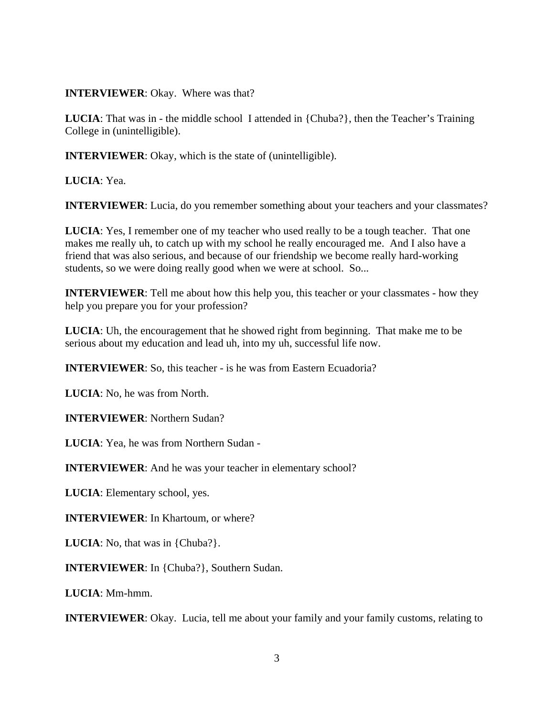**INTERVIEWER**: Okay. Where was that?

**LUCIA**: That was in - the middle school I attended in {Chuba?}, then the Teacher's Training College in (unintelligible).

**INTERVIEWER**: Okay, which is the state of (unintelligible).

**LUCIA**: Yea.

**INTERVIEWER**: Lucia, do you remember something about your teachers and your classmates?

**LUCIA**: Yes, I remember one of my teacher who used really to be a tough teacher. That one makes me really uh, to catch up with my school he really encouraged me. And I also have a friend that was also serious, and because of our friendship we become really hard-working students, so we were doing really good when we were at school. So...

**INTERVIEWER:** Tell me about how this help you, this teacher or your classmates - how they help you prepare you for your profession?

**LUCIA**: Uh, the encouragement that he showed right from beginning. That make me to be serious about my education and lead uh, into my uh, successful life now.

**INTERVIEWER**: So, this teacher - is he was from Eastern Ecuadoria?

**LUCIA**: No, he was from North.

**INTERVIEWER**: Northern Sudan?

**LUCIA**: Yea, he was from Northern Sudan -

**INTERVIEWER:** And he was your teacher in elementary school?

**LUCIA**: Elementary school, yes.

**INTERVIEWER**: In Khartoum, or where?

**LUCIA**: No, that was in {Chuba?}.

**INTERVIEWER**: In {Chuba?}, Southern Sudan.

**LUCIA**: Mm-hmm.

**INTERVIEWER**: Okay. Lucia, tell me about your family and your family customs, relating to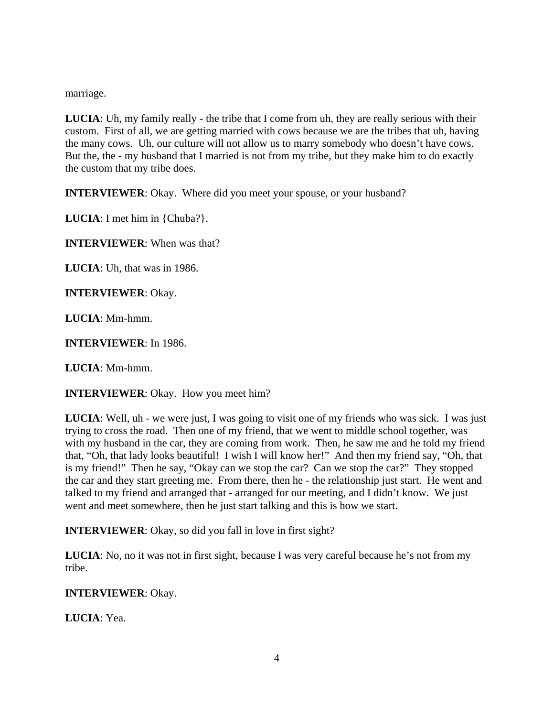marriage.

**LUCIA**: Uh, my family really - the tribe that I come from uh, they are really serious with their custom. First of all, we are getting married with cows because we are the tribes that uh, having the many cows. Uh, our culture will not allow us to marry somebody who doesn't have cows. But the, the - my husband that I married is not from my tribe, but they make him to do exactly the custom that my tribe does.

**INTERVIEWER**: Okay. Where did you meet your spouse, or your husband?

**LUCIA**: I met him in {Chuba?}.

**INTERVIEWER**: When was that?

**LUCIA**: Uh, that was in 1986.

**INTERVIEWER**: Okay.

**LUCIA**: Mm-hmm.

**INTERVIEWER**: In 1986.

**LUCIA**: Mm-hmm.

**INTERVIEWER**: Okay. How you meet him?

**LUCIA**: Well, uh - we were just, I was going to visit one of my friends who was sick. I was just trying to cross the road. Then one of my friend, that we went to middle school together, was with my husband in the car, they are coming from work. Then, he saw me and he told my friend that, "Oh, that lady looks beautiful! I wish I will know her!" And then my friend say, "Oh, that is my friend!" Then he say, "Okay can we stop the car? Can we stop the car?" They stopped the car and they start greeting me. From there, then he - the relationship just start. He went and talked to my friend and arranged that - arranged for our meeting, and I didn't know. We just went and meet somewhere, then he just start talking and this is how we start.

**INTERVIEWER**: Okay, so did you fall in love in first sight?

**LUCIA**: No, no it was not in first sight, because I was very careful because he's not from my tribe.

# **INTERVIEWER**: Okay.

**LUCIA**: Yea.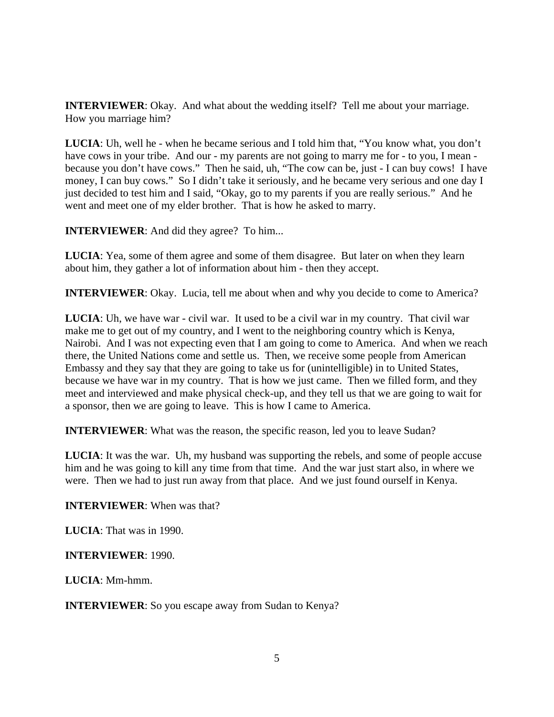**INTERVIEWER**: Okay. And what about the wedding itself? Tell me about your marriage. How you marriage him?

**LUCIA**: Uh, well he - when he became serious and I told him that, "You know what, you don't have cows in your tribe. And our - my parents are not going to marry me for - to you, I mean because you don't have cows." Then he said, uh, "The cow can be, just - I can buy cows! I have money, I can buy cows." So I didn't take it seriously, and he became very serious and one day I just decided to test him and I said, "Okay, go to my parents if you are really serious." And he went and meet one of my elder brother. That is how he asked to marry.

**INTERVIEWER:** And did they agree? To him...

**LUCIA**: Yea, some of them agree and some of them disagree. But later on when they learn about him, they gather a lot of information about him - then they accept.

**INTERVIEWER**: Okay. Lucia, tell me about when and why you decide to come to America?

**LUCIA**: Uh, we have war - civil war. It used to be a civil war in my country. That civil war make me to get out of my country, and I went to the neighboring country which is Kenya, Nairobi. And I was not expecting even that I am going to come to America. And when we reach there, the United Nations come and settle us. Then, we receive some people from American Embassy and they say that they are going to take us for (unintelligible) in to United States, because we have war in my country. That is how we just came. Then we filled form, and they meet and interviewed and make physical check-up, and they tell us that we are going to wait for a sponsor, then we are going to leave. This is how I came to America.

**INTERVIEWER:** What was the reason, the specific reason, led you to leave Sudan?

**LUCIA**: It was the war. Uh, my husband was supporting the rebels, and some of people accuse him and he was going to kill any time from that time. And the war just start also, in where we were. Then we had to just run away from that place. And we just found ourself in Kenya.

**INTERVIEWER**: When was that?

**LUCIA**: That was in 1990.

**INTERVIEWER**: 1990.

**LUCIA**: Mm-hmm.

**INTERVIEWER**: So you escape away from Sudan to Kenya?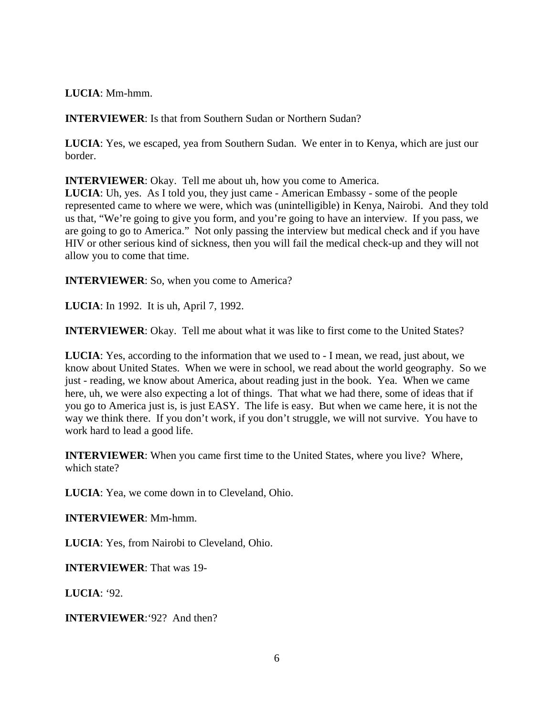# **LUCIA**: Mm-hmm.

**INTERVIEWER:** Is that from Southern Sudan or Northern Sudan?

**LUCIA**: Yes, we escaped, yea from Southern Sudan. We enter in to Kenya, which are just our border.

**INTERVIEWER**: Okay. Tell me about uh, how you come to America.

**LUCIA**: Uh, yes. As I told you, they just came - American Embassy - some of the people represented came to where we were, which was (unintelligible) in Kenya, Nairobi. And they told us that, "We're going to give you form, and you're going to have an interview. If you pass, we are going to go to America." Not only passing the interview but medical check and if you have HIV or other serious kind of sickness, then you will fail the medical check-up and they will not allow you to come that time.

**INTERVIEWER**: So, when you come to America?

**LUCIA**: In 1992. It is uh, April 7, 1992.

**INTERVIEWER**: Okay. Tell me about what it was like to first come to the United States?

**LUCIA**: Yes, according to the information that we used to - I mean, we read, just about, we know about United States. When we were in school, we read about the world geography. So we just - reading, we know about America, about reading just in the book. Yea. When we came here, uh, we were also expecting a lot of things. That what we had there, some of ideas that if you go to America just is, is just EASY. The life is easy. But when we came here, it is not the way we think there. If you don't work, if you don't struggle, we will not survive. You have to work hard to lead a good life.

**INTERVIEWER:** When you came first time to the United States, where you live? Where, which state?

**LUCIA**: Yea, we come down in to Cleveland, Ohio.

**INTERVIEWER**: Mm-hmm.

**LUCIA**: Yes, from Nairobi to Cleveland, Ohio.

**INTERVIEWER**: That was 19-

**LUCIA**: '92.

**INTERVIEWER**:'92? And then?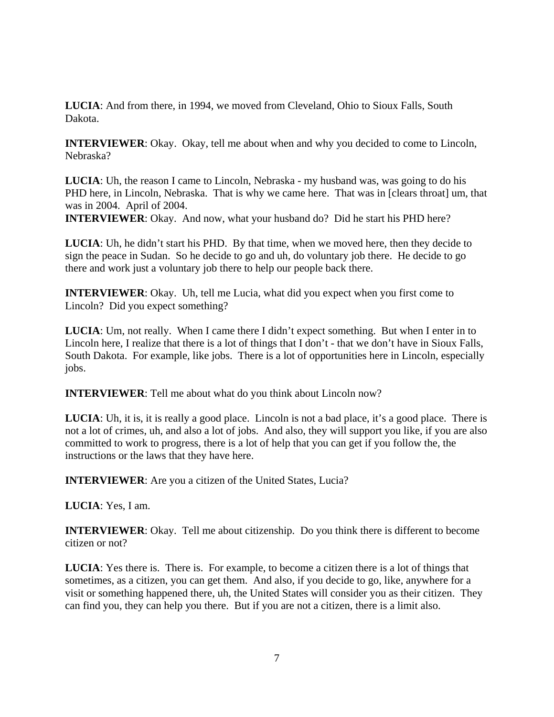**LUCIA**: And from there, in 1994, we moved from Cleveland, Ohio to Sioux Falls, South Dakota.

**INTERVIEWER**: Okay. Okay, tell me about when and why you decided to come to Lincoln, Nebraska?

**LUCIA**: Uh, the reason I came to Lincoln, Nebraska - my husband was, was going to do his PHD here, in Lincoln, Nebraska. That is why we came here. That was in [clears throat] um, that was in 2004. April of 2004.

**INTERVIEWER**: Okay. And now, what your husband do? Did he start his PHD here?

**LUCIA**: Uh, he didn't start his PHD. By that time, when we moved here, then they decide to sign the peace in Sudan. So he decide to go and uh, do voluntary job there. He decide to go there and work just a voluntary job there to help our people back there.

**INTERVIEWER**: Okay. Uh, tell me Lucia, what did you expect when you first come to Lincoln? Did you expect something?

**LUCIA**: Um, not really. When I came there I didn't expect something. But when I enter in to Lincoln here, I realize that there is a lot of things that I don't - that we don't have in Sioux Falls, South Dakota. For example, like jobs. There is a lot of opportunities here in Lincoln, especially jobs.

**INTERVIEWER**: Tell me about what do you think about Lincoln now?

**LUCIA**: Uh, it is, it is really a good place. Lincoln is not a bad place, it's a good place. There is not a lot of crimes, uh, and also a lot of jobs. And also, they will support you like, if you are also committed to work to progress, there is a lot of help that you can get if you follow the, the instructions or the laws that they have here.

**INTERVIEWER**: Are you a citizen of the United States, Lucia?

**LUCIA**: Yes, I am.

**INTERVIEWER**: Okay. Tell me about citizenship. Do you think there is different to become citizen or not?

**LUCIA**: Yes there is. There is. For example, to become a citizen there is a lot of things that sometimes, as a citizen, you can get them. And also, if you decide to go, like, anywhere for a visit or something happened there, uh, the United States will consider you as their citizen. They can find you, they can help you there. But if you are not a citizen, there is a limit also.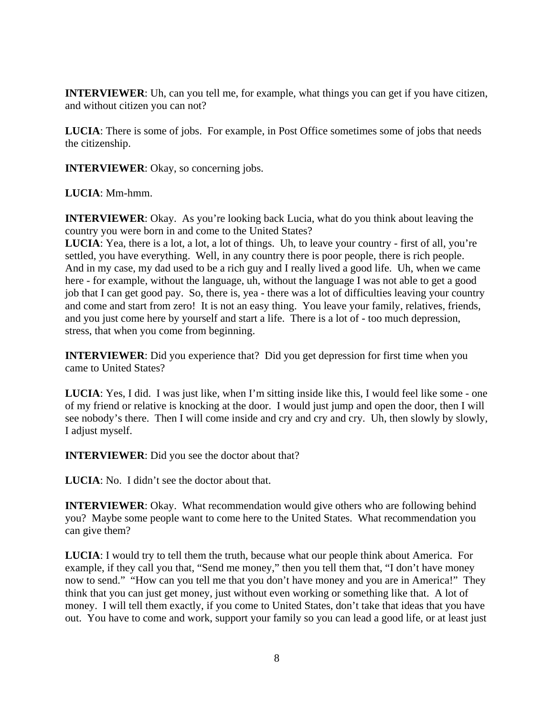**INTERVIEWER**: Uh, can you tell me, for example, what things you can get if you have citizen, and without citizen you can not?

**LUCIA**: There is some of jobs. For example, in Post Office sometimes some of jobs that needs the citizenship.

**INTERVIEWER**: Okay, so concerning jobs.

**LUCIA**: Mm-hmm.

**INTERVIEWER**: Okay. As you're looking back Lucia, what do you think about leaving the country you were born in and come to the United States?

**LUCIA**: Yea, there is a lot, a lot, a lot of things. Uh, to leave your country - first of all, you're settled, you have everything. Well, in any country there is poor people, there is rich people. And in my case, my dad used to be a rich guy and I really lived a good life. Uh, when we came here - for example, without the language, uh, without the language I was not able to get a good job that I can get good pay. So, there is, yea - there was a lot of difficulties leaving your country and come and start from zero! It is not an easy thing. You leave your family, relatives, friends, and you just come here by yourself and start a life. There is a lot of - too much depression, stress, that when you come from beginning.

**INTERVIEWER:** Did you experience that? Did you get depression for first time when you came to United States?

**LUCIA**: Yes, I did. I was just like, when I'm sitting inside like this, I would feel like some - one of my friend or relative is knocking at the door. I would just jump and open the door, then I will see nobody's there. Then I will come inside and cry and cry and cry. Uh, then slowly by slowly, I adjust myself.

**INTERVIEWER**: Did you see the doctor about that?

**LUCIA**: No. I didn't see the doctor about that.

**INTERVIEWER:** Okay. What recommendation would give others who are following behind you? Maybe some people want to come here to the United States. What recommendation you can give them?

**LUCIA**: I would try to tell them the truth, because what our people think about America. For example, if they call you that, "Send me money," then you tell them that, "I don't have money now to send." "How can you tell me that you don't have money and you are in America!" They think that you can just get money, just without even working or something like that. A lot of money. I will tell them exactly, if you come to United States, don't take that ideas that you have out. You have to come and work, support your family so you can lead a good life, or at least just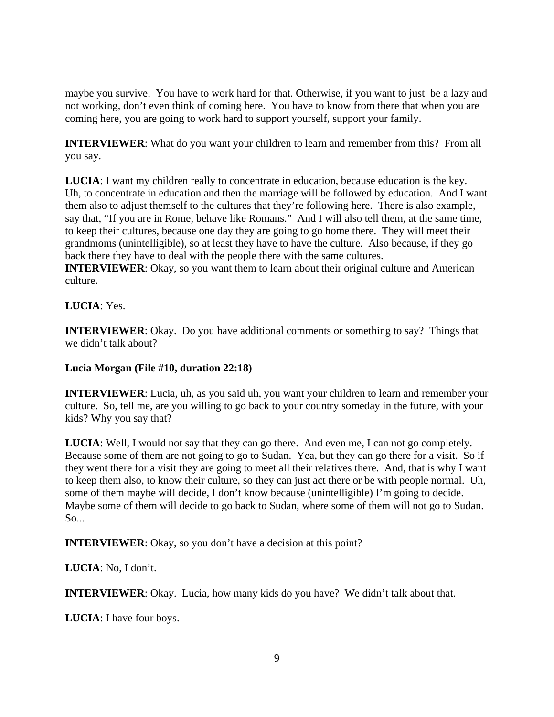maybe you survive. You have to work hard for that. Otherwise, if you want to just be a lazy and not working, don't even think of coming here. You have to know from there that when you are coming here, you are going to work hard to support yourself, support your family.

**INTERVIEWER:** What do you want your children to learn and remember from this? From all you say.

**LUCIA**: I want my children really to concentrate in education, because education is the key. Uh, to concentrate in education and then the marriage will be followed by education. And I want them also to adjust themself to the cultures that they're following here. There is also example, say that, "If you are in Rome, behave like Romans." And I will also tell them, at the same time, to keep their cultures, because one day they are going to go home there. They will meet their grandmoms (unintelligible), so at least they have to have the culture. Also because, if they go back there they have to deal with the people there with the same cultures.

**INTERVIEWER**: Okay, so you want them to learn about their original culture and American culture.

**LUCIA**: Yes.

**INTERVIEWER**: Okay. Do you have additional comments or something to say? Things that we didn't talk about?

# **Lucia Morgan (File #10, duration 22:18)**

**INTERVIEWER**: Lucia, uh, as you said uh, you want your children to learn and remember your culture. So, tell me, are you willing to go back to your country someday in the future, with your kids? Why you say that?

**LUCIA**: Well, I would not say that they can go there. And even me, I can not go completely. Because some of them are not going to go to Sudan. Yea, but they can go there for a visit. So if they went there for a visit they are going to meet all their relatives there. And, that is why I want to keep them also, to know their culture, so they can just act there or be with people normal. Uh, some of them maybe will decide, I don't know because (unintelligible) I'm going to decide. Maybe some of them will decide to go back to Sudan, where some of them will not go to Sudan. So...

**INTERVIEWER**: Okay, so you don't have a decision at this point?

**LUCIA**: No, I don't.

**INTERVIEWER**: Okay. Lucia, how many kids do you have? We didn't talk about that.

**LUCIA**: I have four boys.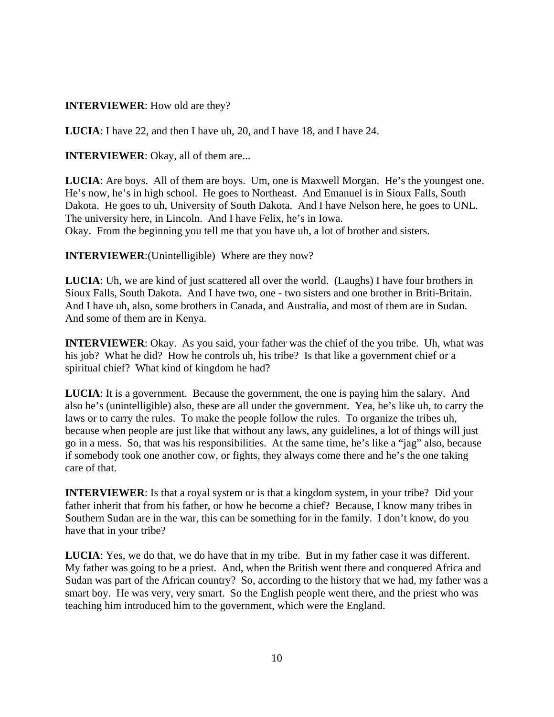# **INTERVIEWER**: How old are they?

**LUCIA**: I have 22, and then I have uh, 20, and I have 18, and I have 24.

**INTERVIEWER**: Okay, all of them are...

**LUCIA**: Are boys. All of them are boys. Um, one is Maxwell Morgan. He's the youngest one. He's now, he's in high school. He goes to Northeast. And Emanuel is in Sioux Falls, South Dakota. He goes to uh, University of South Dakota. And I have Nelson here, he goes to UNL. The university here, in Lincoln. And I have Felix, he's in Iowa. Okay. From the beginning you tell me that you have uh, a lot of brother and sisters.

**INTERVIEWER**:(Unintelligible) Where are they now?

**LUCIA**: Uh, we are kind of just scattered all over the world. (Laughs) I have four brothers in Sioux Falls, South Dakota. And I have two, one - two sisters and one brother in Briti-Britain. And I have uh, also, some brothers in Canada, and Australia, and most of them are in Sudan. And some of them are in Kenya.

**INTERVIEWER**: Okay. As you said, your father was the chief of the you tribe. Uh, what was his job? What he did? How he controls uh, his tribe? Is that like a government chief or a spiritual chief? What kind of kingdom he had?

**LUCIA**: It is a government. Because the government, the one is paying him the salary. And also he's (unintelligible) also, these are all under the government. Yea, he's like uh, to carry the laws or to carry the rules. To make the people follow the rules. To organize the tribes uh, because when people are just like that without any laws, any guidelines, a lot of things will just go in a mess. So, that was his responsibilities. At the same time, he's like a "jag" also, because if somebody took one another cow, or fights, they always come there and he's the one taking care of that.

**INTERVIEWER**: Is that a royal system or is that a kingdom system, in your tribe? Did your father inherit that from his father, or how he become a chief? Because, I know many tribes in Southern Sudan are in the war, this can be something for in the family. I don't know, do you have that in your tribe?

**LUCIA**: Yes, we do that, we do have that in my tribe. But in my father case it was different. My father was going to be a priest. And, when the British went there and conquered Africa and Sudan was part of the African country? So, according to the history that we had, my father was a smart boy. He was very, very smart. So the English people went there, and the priest who was teaching him introduced him to the government, which were the England.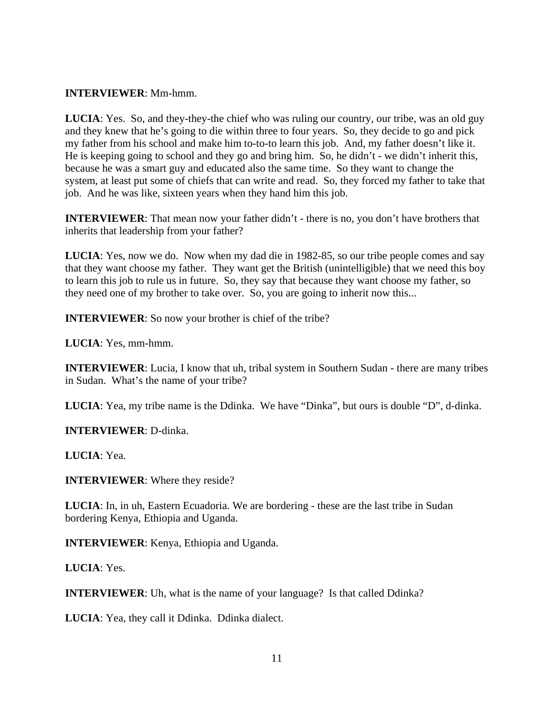#### **INTERVIEWER**: Mm-hmm.

**LUCIA**: Yes. So, and they-they-the chief who was ruling our country, our tribe, was an old guy and they knew that he's going to die within three to four years. So, they decide to go and pick my father from his school and make him to-to-to learn this job. And, my father doesn't like it. He is keeping going to school and they go and bring him. So, he didn't - we didn't inherit this, because he was a smart guy and educated also the same time. So they want to change the system, at least put some of chiefs that can write and read. So, they forced my father to take that job. And he was like, sixteen years when they hand him this job.

**INTERVIEWER:** That mean now your father didn't - there is no, you don't have brothers that inherits that leadership from your father?

**LUCIA**: Yes, now we do. Now when my dad die in 1982-85, so our tribe people comes and say that they want choose my father. They want get the British (unintelligible) that we need this boy to learn this job to rule us in future. So, they say that because they want choose my father, so they need one of my brother to take over. So, you are going to inherit now this...

**INTERVIEWER**: So now your brother is chief of the tribe?

**LUCIA**: Yes, mm-hmm.

**INTERVIEWER:** Lucia, I know that uh, tribal system in Southern Sudan - there are many tribes in Sudan. What's the name of your tribe?

**LUCIA**: Yea, my tribe name is the Ddinka. We have "Dinka", but ours is double "D", d-dinka.

**INTERVIEWER**: D-dinka.

**LUCIA**: Yea.

**INTERVIEWER**: Where they reside?

**LUCIA**: In, in uh, Eastern Ecuadoria. We are bordering - these are the last tribe in Sudan bordering Kenya, Ethiopia and Uganda.

**INTERVIEWER**: Kenya, Ethiopia and Uganda.

**LUCIA**: Yes.

**INTERVIEWER**: Uh, what is the name of your language? Is that called Ddinka?

**LUCIA**: Yea, they call it Ddinka. Ddinka dialect.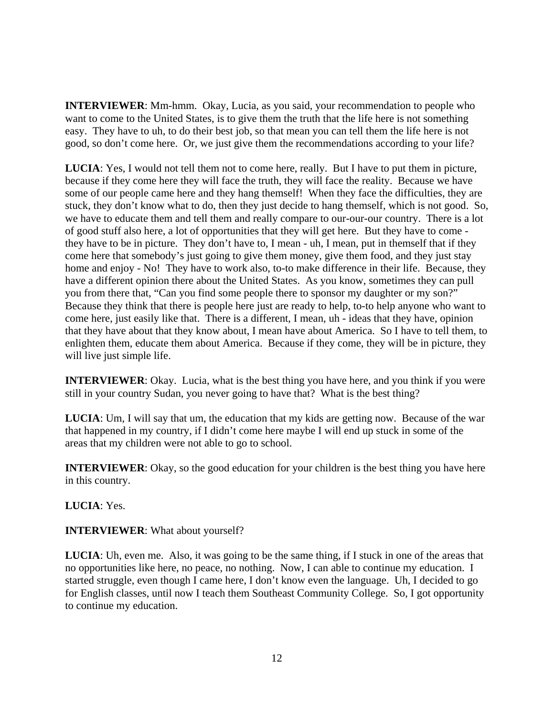**INTERVIEWER**: Mm-hmm. Okay, Lucia, as you said, your recommendation to people who want to come to the United States, is to give them the truth that the life here is not something easy. They have to uh, to do their best job, so that mean you can tell them the life here is not good, so don't come here. Or, we just give them the recommendations according to your life?

**LUCIA**: Yes, I would not tell them not to come here, really. But I have to put them in picture, because if they come here they will face the truth, they will face the reality. Because we have some of our people came here and they hang themself! When they face the difficulties, they are stuck, they don't know what to do, then they just decide to hang themself, which is not good. So, we have to educate them and tell them and really compare to our-our-our country. There is a lot of good stuff also here, a lot of opportunities that they will get here. But they have to come they have to be in picture. They don't have to, I mean - uh, I mean, put in themself that if they come here that somebody's just going to give them money, give them food, and they just stay home and enjoy - No! They have to work also, to-to make difference in their life. Because, they have a different opinion there about the United States. As you know, sometimes they can pull you from there that, "Can you find some people there to sponsor my daughter or my son?" Because they think that there is people here just are ready to help, to-to help anyone who want to come here, just easily like that. There is a different, I mean, uh - ideas that they have, opinion that they have about that they know about, I mean have about America. So I have to tell them, to enlighten them, educate them about America. Because if they come, they will be in picture, they will live just simple life.

**INTERVIEWER:** Okay. Lucia, what is the best thing you have here, and you think if you were still in your country Sudan, you never going to have that? What is the best thing?

**LUCIA**: Um, I will say that um, the education that my kids are getting now. Because of the war that happened in my country, if I didn't come here maybe I will end up stuck in some of the areas that my children were not able to go to school.

**INTERVIEWER:** Okay, so the good education for your children is the best thing you have here in this country.

# **LUCIA**: Yes.

# **INTERVIEWER**: What about yourself?

**LUCIA**: Uh, even me. Also, it was going to be the same thing, if I stuck in one of the areas that no opportunities like here, no peace, no nothing. Now, I can able to continue my education. I started struggle, even though I came here, I don't know even the language. Uh, I decided to go for English classes, until now I teach them Southeast Community College. So, I got opportunity to continue my education.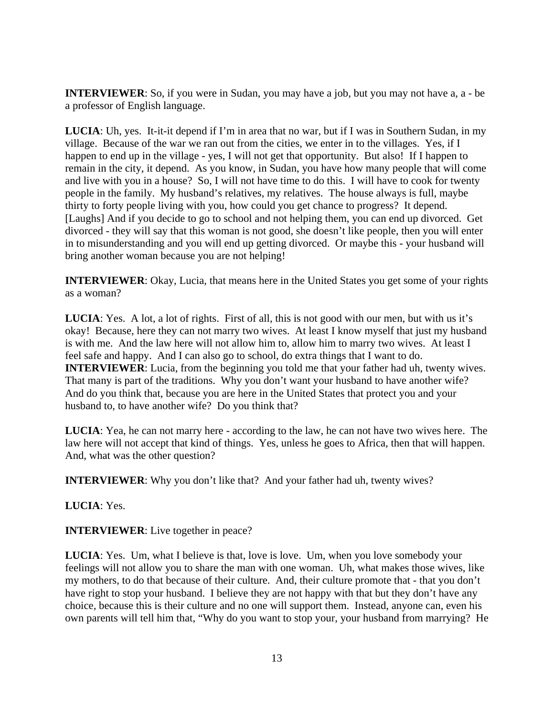**INTERVIEWER**: So, if you were in Sudan, you may have a job, but you may not have a, a - be a professor of English language.

**LUCIA**: Uh, yes. It-it-it depend if I'm in area that no war, but if I was in Southern Sudan, in my village. Because of the war we ran out from the cities, we enter in to the villages. Yes, if I happen to end up in the village - yes, I will not get that opportunity. But also! If I happen to remain in the city, it depend. As you know, in Sudan, you have how many people that will come and live with you in a house? So, I will not have time to do this. I will have to cook for twenty people in the family. My husband's relatives, my relatives. The house always is full, maybe thirty to forty people living with you, how could you get chance to progress? It depend. [Laughs] And if you decide to go to school and not helping them, you can end up divorced. Get divorced - they will say that this woman is not good, she doesn't like people, then you will enter in to misunderstanding and you will end up getting divorced. Or maybe this - your husband will bring another woman because you are not helping!

**INTERVIEWER**: Okay, Lucia, that means here in the United States you get some of your rights as a woman?

**LUCIA**: Yes. A lot, a lot of rights. First of all, this is not good with our men, but with us it's okay! Because, here they can not marry two wives. At least I know myself that just my husband is with me. And the law here will not allow him to, allow him to marry two wives. At least I feel safe and happy. And I can also go to school, do extra things that I want to do. **INTERVIEWER**: Lucia, from the beginning you told me that your father had uh, twenty wives. That many is part of the traditions. Why you don't want your husband to have another wife? And do you think that, because you are here in the United States that protect you and your husband to, to have another wife? Do you think that?

**LUCIA**: Yea, he can not marry here - according to the law, he can not have two wives here. The law here will not accept that kind of things. Yes, unless he goes to Africa, then that will happen. And, what was the other question?

**INTERVIEWER:** Why you don't like that? And your father had uh, twenty wives?

# **LUCIA**: Yes.

**INTERVIEWER**: Live together in peace?

**LUCIA**: Yes. Um, what I believe is that, love is love. Um, when you love somebody your feelings will not allow you to share the man with one woman. Uh, what makes those wives, like my mothers, to do that because of their culture. And, their culture promote that - that you don't have right to stop your husband. I believe they are not happy with that but they don't have any choice, because this is their culture and no one will support them. Instead, anyone can, even his own parents will tell him that, "Why do you want to stop your, your husband from marrying? He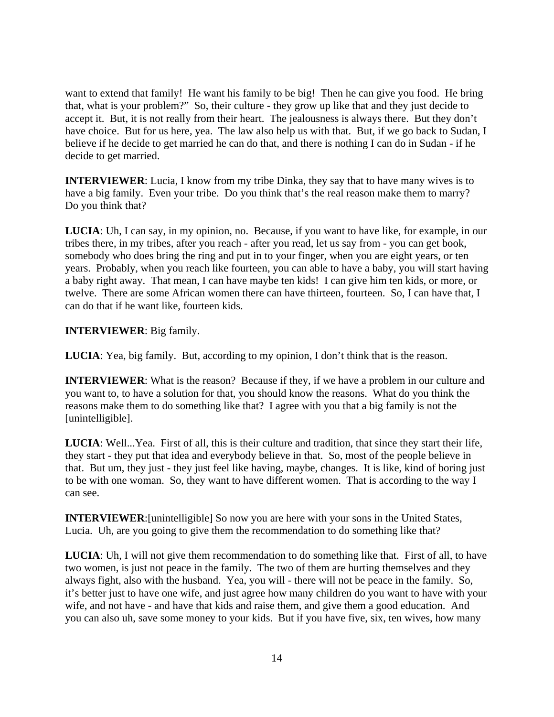want to extend that family! He want his family to be big! Then he can give you food. He bring that, what is your problem?" So, their culture - they grow up like that and they just decide to accept it. But, it is not really from their heart. The jealousness is always there. But they don't have choice. But for us here, yea. The law also help us with that. But, if we go back to Sudan, I believe if he decide to get married he can do that, and there is nothing I can do in Sudan - if he decide to get married.

**INTERVIEWER:** Lucia, I know from my tribe Dinka, they say that to have many wives is to have a big family. Even your tribe. Do you think that's the real reason make them to marry? Do you think that?

**LUCIA**: Uh, I can say, in my opinion, no. Because, if you want to have like, for example, in our tribes there, in my tribes, after you reach - after you read, let us say from - you can get book, somebody who does bring the ring and put in to your finger, when you are eight years, or ten years. Probably, when you reach like fourteen, you can able to have a baby, you will start having a baby right away. That mean, I can have maybe ten kids! I can give him ten kids, or more, or twelve. There are some African women there can have thirteen, fourteen. So, I can have that, I can do that if he want like, fourteen kids.

# **INTERVIEWER**: Big family.

**LUCIA**: Yea, big family. But, according to my opinion, I don't think that is the reason.

**INTERVIEWER**: What is the reason? Because if they, if we have a problem in our culture and you want to, to have a solution for that, you should know the reasons. What do you think the reasons make them to do something like that? I agree with you that a big family is not the [unintelligible].

**LUCIA**: Well...Yea. First of all, this is their culture and tradition, that since they start their life, they start - they put that idea and everybody believe in that. So, most of the people believe in that. But um, they just - they just feel like having, maybe, changes. It is like, kind of boring just to be with one woman. So, they want to have different women. That is according to the way I can see.

**INTERVIEWER**:[unintelligible] So now you are here with your sons in the United States, Lucia. Uh, are you going to give them the recommendation to do something like that?

**LUCIA**: Uh, I will not give them recommendation to do something like that. First of all, to have two women, is just not peace in the family. The two of them are hurting themselves and they always fight, also with the husband. Yea, you will - there will not be peace in the family. So, it's better just to have one wife, and just agree how many children do you want to have with your wife, and not have - and have that kids and raise them, and give them a good education. And you can also uh, save some money to your kids. But if you have five, six, ten wives, how many